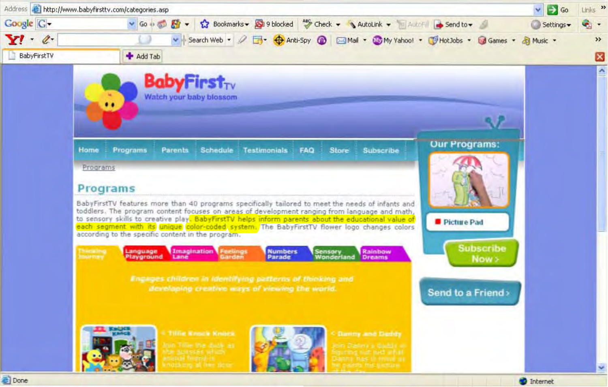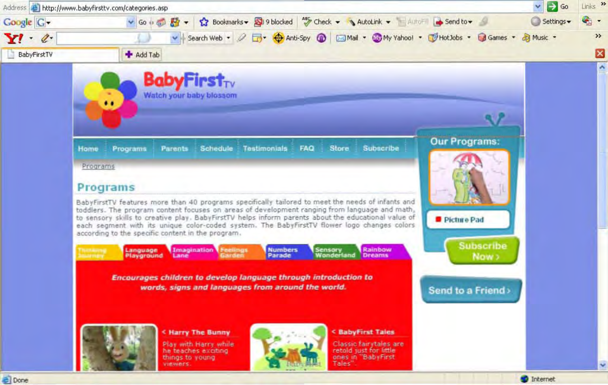

**El** Done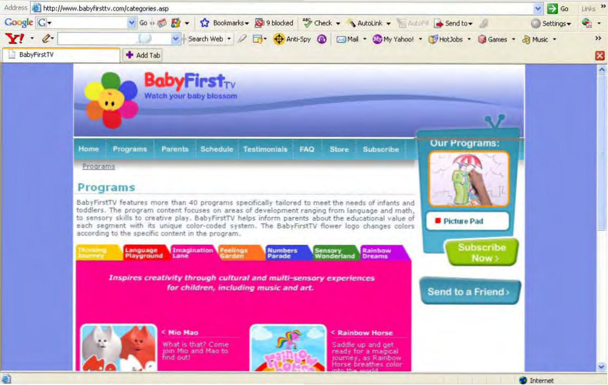